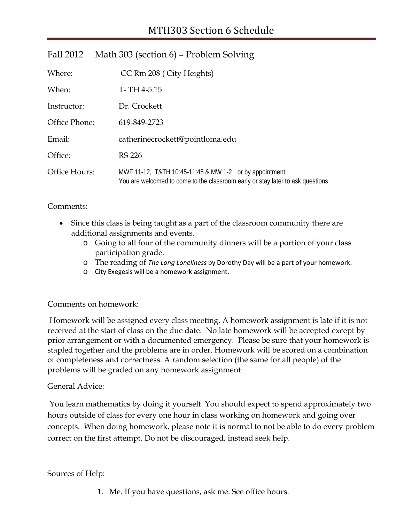| Fall 2012     | Math 303 (section 6) – Problem Solving                                                                                                   |  |
|---------------|------------------------------------------------------------------------------------------------------------------------------------------|--|
| Where:        | CC Rm 208 (City Heights)                                                                                                                 |  |
| When:         | $T - TH$ 4-5:15                                                                                                                          |  |
| Instructor:   | Dr. Crockett                                                                                                                             |  |
| Office Phone: | 619-849-2723                                                                                                                             |  |
| Email:        | catherinecrockett@pointloma.edu                                                                                                          |  |
| Office:       | <b>RS 226</b>                                                                                                                            |  |
| Office Hours: | MWF 11-12, T&TH 10:45-11:45 & MW 1-2 or by appointment<br>You are welcomed to come to the classroom early or stay later to ask questions |  |

## Comments:

- Since this class is being taught as a part of the classroom community there are additional assignments and events.
	- o Going to all four of the community dinners will be a portion of your class participation grade.
	- o The reading of *The Long Loneliness* by Dorothy Day will be a part of your homework.
	- o City Exegesis will be a homework assignment.

## Comments on homework:

Homework will be assigned every class meeting. A homework assignment is late if it is not received at the start of class on the due date. No late homework will be accepted except by prior arrangement or with a documented emergency. Please be sure that your homework is stapled together and the problems are in order. Homework will be scored on a combination of completeness and correctness. A random selection (the same for all people) of the problems will be graded on any homework assignment.

## General Advice:

You learn mathematics by doing it yourself. You should expect to spend approximately two hours outside of class for every one hour in class working on homework and going over concepts. When doing homework, please note it is normal to not be able to do every problem correct on the first attempt. Do not be discouraged, instead seek help.

## Sources of Help:

1. Me. If you have questions, ask me. See office hours.